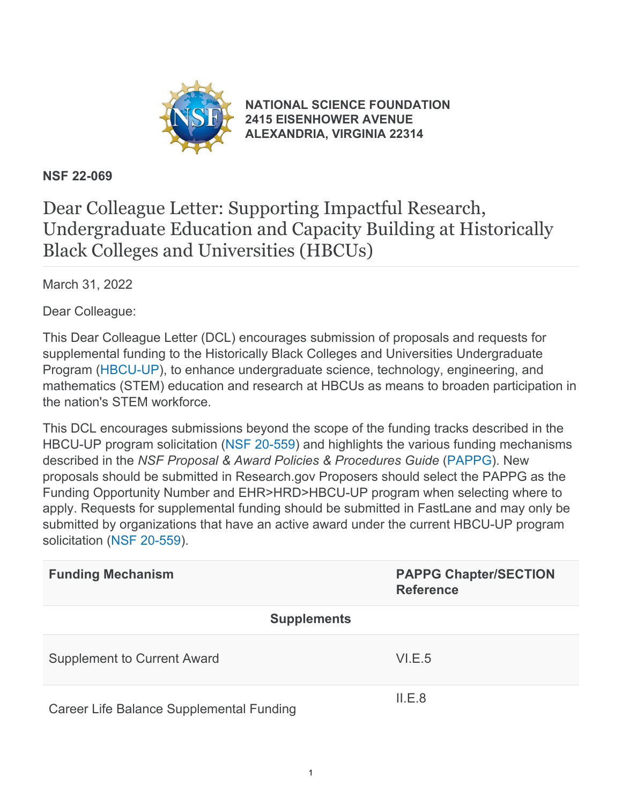

**[NATIONAL SCIENCE FOUNDATION](https://www.nsf.gov/) [2415 EISENHOWER AVENUE](https://www.nsf.gov/) [ALEXANDRIA, VIRGINIA 22314](https://www.nsf.gov/)**

## **NSF 22-069**

## Dear Colleague Letter: Supporting Impactful Research, Undergraduate Education and Capacity Building at Historically Black Colleges and Universities (HBCUs)

March 31, 2022

Dear Colleague:

This Dear Colleague Letter (DCL) encourages submission of proposals and requests for supplemental funding to the Historically Black Colleges and Universities Undergraduate Program [\(HBCU-UP](https://beta.nsf.gov/funding/opportunities/historically-black-colleges-and-universities-undergraduate-program-hbcu)), to enhance undergraduate science, technology, engineering, and mathematics (STEM) education and research at HBCUs as means to broaden participation in the nation's STEM workforce.

This DCL encourages submissions beyond the scope of the funding tracks described in the HBCU-UP program solicitation [\(NSF 20-559](https://www.nsf.gov/publications/pub_summ.jsp?ods_key=nsf20559)) and highlights the various funding mechanisms described in the *NSF Proposal & Award Policies & Procedures Guide* [\(PAPPG](https://www.nsf.gov/publications/pub_summ.jsp?ods_key=pappg)). New proposals should be submitted in Research.gov Proposers should select the PAPPG as the Funding Opportunity Number and EHR>HRD>HBCU-UP program when selecting where to apply. Requests for supplemental funding should be submitted in FastLane and may only be submitted by organizations that have an active award under the current HBCU-UP program solicitation [\(NSF 20-559](https://www.nsf.gov/publications/pub_summ.jsp?ods_key=nsf20559)).

| <b>Funding Mechanism</b>                 | <b>PAPPG Chapter/SECTION</b><br><b>Reference</b> |
|------------------------------------------|--------------------------------------------------|
| <b>Supplements</b>                       |                                                  |
| <b>Supplement to Current Award</b>       | VI.E.5                                           |
| Career Life Balance Supplemental Funding | ILE.8                                            |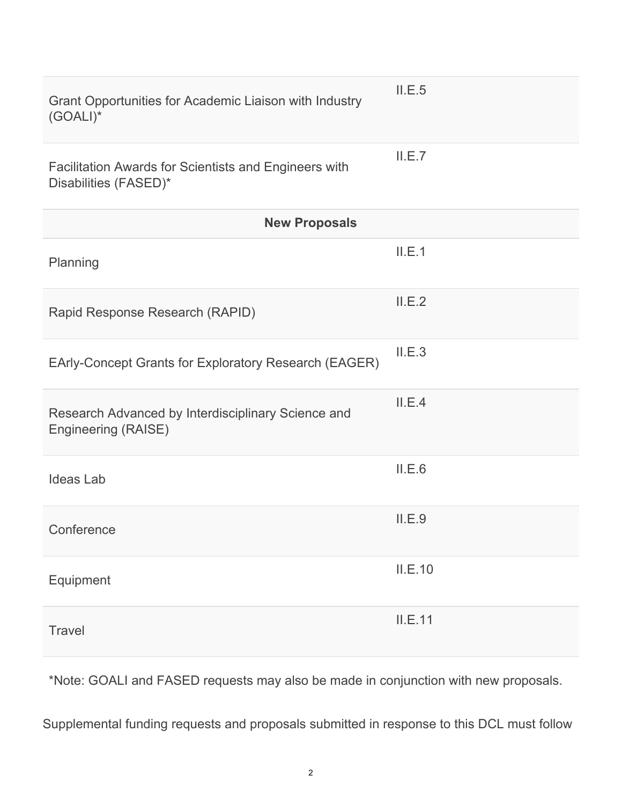| $(GOALI)^*$                                                                    |         |  |
|--------------------------------------------------------------------------------|---------|--|
| Facilitation Awards for Scientists and Engineers with<br>Disabilities (FASED)* | ILE.7   |  |
| <b>New Proposals</b>                                                           |         |  |
| Planning                                                                       | II.E.1  |  |
| Rapid Response Research (RAPID)                                                | II.E.2  |  |
| EArly-Concept Grants for Exploratory Research (EAGER)                          | II.E.3  |  |
| Research Advanced by Interdisciplinary Science and<br>Engineering (RAISE)      | II.E.4  |  |
| <b>Ideas Lab</b>                                                               | II.E.6  |  |
| Conference                                                                     | II.E.9  |  |
| Equipment                                                                      | II.E.10 |  |
| <b>Travel</b>                                                                  | II.E.11 |  |

II.E.5

Grant Opportunities for Academic Liaison with Industry

\*Note: GOALI and FASED requests may also be made in conjunction with new proposals.

Supplemental funding requests and proposals submitted in response to this DCL must follow